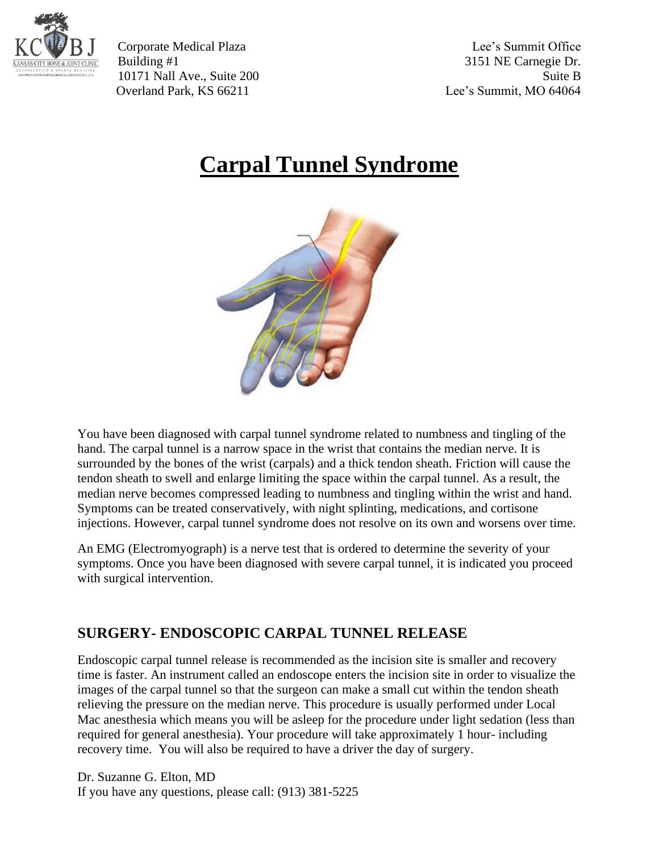

Corporate Medical Plaza Lee's Summit Office Building #1 3151 NE Carnegie Dr. 10171 Nall Ave., Suite 200 Suite B Overland Park, KS 66211 Lee's Summit, MO 64064

## **Carpal Tunnel Syndrome**



You have been diagnosed with carpal tunnel syndrome related to numbness and tingling of the hand. The carpal tunnel is a narrow space in the wrist that contains the median nerve. It is surrounded by the bones of the wrist (carpals) and a thick tendon sheath. Friction will cause the tendon sheath to swell and enlarge limiting the space within the carpal tunnel. As a result, the median nerve becomes compressed leading to numbness and tingling within the wrist and hand. Symptoms can be treated conservatively, with night splinting, medications, and cortisone injections. However, carpal tunnel syndrome does not resolve on its own and worsens over time.

An EMG (Electromyograph) is a nerve test that is ordered to determine the severity of your symptoms. Once you have been diagnosed with severe carpal tunnel, it is indicated you proceed with surgical intervention.

## **SURGERY- ENDOSCOPIC CARPAL TUNNEL RELEASE**

Endoscopic carpal tunnel release is recommended as the incision site is smaller and recovery time is faster. An instrument called an endoscope enters the incision site in order to visualize the images of the carpal tunnel so that the surgeon can make a small cut within the tendon sheath relieving the pressure on the median nerve. This procedure is usually performed under Local Mac anesthesia which means you will be asleep for the procedure under light sedation (less than required for general anesthesia). Your procedure will take approximately 1 hour- including recovery time. You will also be required to have a driver the day of surgery.

Dr. Suzanne G. Elton, MD If you have any questions, please call: (913) 381-5225